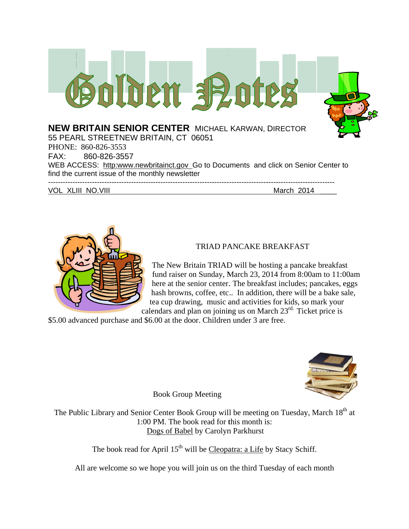



# TRIAD PANCAKE BREAKFAST

The New Britain TRIAD will be hosting a pancake breakfast fund raiser on Sunday, March 23, 2014 from 8:00am to 11:00am here at the senior center. The breakfast includes; pancakes, eggs hash browns, coffee, etc.. In addition, there will be a bake sale, tea cup drawing, music and activities for kids, so mark your calendars and plan on joining us on March 23<sup>rd</sup>. Ticket price is

\$5.00 advanced purchase and \$6.00 at the door. Children under 3 are free.



**Book Group Meeting** 

The Public Library and Senior Center Book Group will be meeting on Tuesday, March 18<sup>th</sup> at 1:00 PM. The book read for this month is: Dogs of Babel by Carolyn Parkhurst

The book read for April 15<sup>th</sup> will be Cleopatra: a Life by Stacy Schiff.

All are welcome so we hope you will join us on the third Tuesday of each month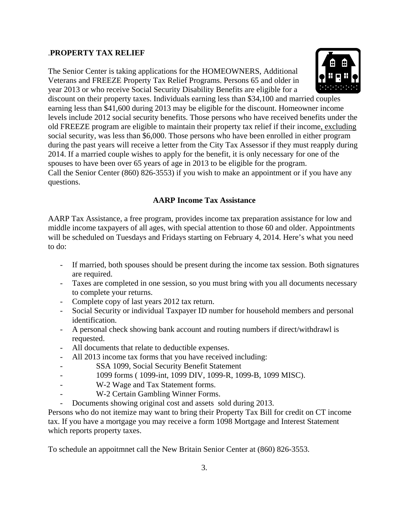# .**PROPERTY TAX RELIEF**

The Senior Center is taking applications for the HOMEOWNERS, Additional Veterans and FREEZE Property Tax Relief Programs. Persons 65 and older in year 2013 or who receive Social Security Disability Benefits are eligible for a



discount on their property taxes. Individuals earning less than \$34,100 and married couples earning less than \$41,600 during 2013 may be eligible for the discount. Homeowner income levels include 2012 social security benefits. Those persons who have received benefits under the old FREEZE program are eligible to maintain their property tax relief if their income, excluding social security, was less than \$6,000. Those persons who have been enrolled in either program during the past years will receive a letter from the City Tax Assessor if they must reapply during 2014. If a married couple wishes to apply for the benefit, it is only necessary for one of the spouses to have been over 65 years of age in 2013 to be eligible for the program. Call the Senior Center (860) 826-3553) if you wish to make an appointment or if you have any questions.

# **AARP Income Tax Assistance**

AARP Tax Assistance, a free program, provides income tax preparation assistance for low and middle income taxpayers of all ages, with special attention to those 60 and older. Appointments will be scheduled on Tuesdays and Fridays starting on February 4, 2014. Here's what you need to do:

- If married, both spouses should be present during the income tax session. Both signatures are required.
- Taxes are completed in one session, so you must bring with you all documents necessary to complete your returns.
- Complete copy of last years 2012 tax return.
- Social Security or individual Taxpayer ID number for household members and personal identification.
- A personal check showing bank account and routing numbers if direct/withdrawl is requested.
- All documents that relate to deductible expenses.
- All 2013 income tax forms that you have received including:
- SSA 1099, Social Security Benefit Statement
- 1099 forms ( 1099-int, 1099 DIV, 1099-R, 1099-B, 1099 MISC).
- W-2 Wage and Tax Statement forms.
- W-2 Certain Gambling Winner Forms.
- Documents showing original cost and assets sold during 2013.

Persons who do not itemize may want to bring their Property Tax Bill for credit on CT income tax. If you have a mortgage you may receive a form 1098 Mortgage and Interest Statement which reports property taxes.

To schedule an appoitmnet call the New Britain Senior Center at (860) 826-3553.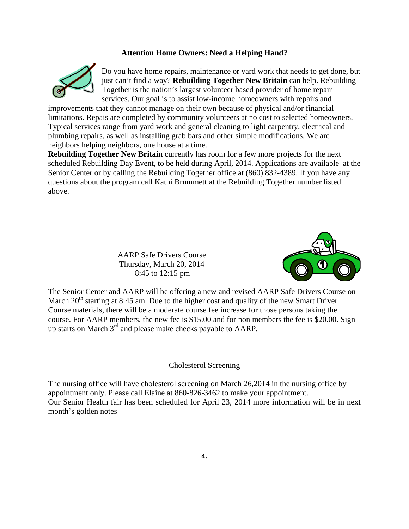# **Attention Home Owners: Need a Helping Hand?**



Do you have home repairs, maintenance or yard work that needs to get done, but just can't find a way? **Rebuilding Together New Britain** can help. Rebuilding Together is the nation's largest volunteer based provider of home repair services. Our goal is to assist low-income homeowners with repairs and

improvements that they cannot manage on their own because of physical and/or financial limitations. Repais are completed by community volunteers at no cost to selected homeowners. Typical services range from yard work and general cleaning to light carpentry, electrical and plumbing repairs, as well as installing grab bars and other simple modifications. We are neighbors helping neighbors, one house at a time.

**Rebuilding Together New Britain** currently has room for a few more projects for the next scheduled Rebuilding Day Event, to be held during April, 2014. Applications are available at the Senior Center or by calling the Rebuilding Together office at (860) 832-4389. If you have any questions about the program call Kathi Brummett at the Rebuilding Together number listed above.

> AARP Safe Drivers Course Thursday, March 20, 2014 8:45 to 12:15 pm



The Senior Center and AARP will be offering a new and revised AARP Safe Drivers Course on March  $20<sup>th</sup>$  starting at 8:45 am. Due to the higher cost and quality of the new Smart Driver Course materials, there will be a moderate course fee increase for those persons taking the course. For AARP members, the new fee is \$15.00 and for non members the fee is \$20.00. Sign up starts on March 3<sup>rd</sup> and please make checks payable to AARP.

### Cholesterol Screening

The nursing office will have cholesterol screening on March 26,2014 in the nursing office by appointment only. Please call Elaine at 860-826-3462 to make your appointment. Our Senior Health fair has been scheduled for April 23, 2014 more information will be in next month's golden notes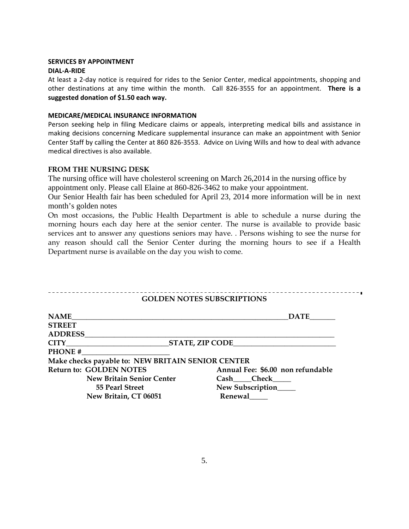#### **SERVICES BY APPOINTMENT**

#### **DIAL‐A‐RIDE**

At least a 2‐day notice is required for rides to the Senior Center, medical appointments, shopping and other destinations at any time within the month. Call 826‐3555 for an appointment. **There is a suggested donation of \$1.50 each way.**

#### **MEDICARE/MEDICAL INSURANCE INFORMATION**

Person seeking help in filing Medicare claims or appeals, interpreting medical bills and assistance in making decisions concerning Medicare supplemental insurance can make an appointment with Senior Center Staff by calling the Center at 860 826‐3553. Advice on Living Wills and how to deal with advance medical directives is also available.

### **FROM THE NURSING DESK**

The nursing office will have cholesterol screening on March 26,2014 in the nursing office by appointment only. Please call Elaine at 860-826-3462 to make your appointment.

Our Senior Health fair has been scheduled for April 23, 2014 more information will be in next month's golden notes

On most occasions, the Public Health Department is able to schedule a nurse during the morning hours each day here at the senior center. The nurse is available to provide basic services ant to answer any questions seniors may have. . Persons wishing to see the nurse for any reason should call the Senior Center during the morning hours to see if a Health Department nurse is available on the day you wish to come.

#### -------------------------**GOLDEN NOTES SUBSCRIPTIONS**

| <b>NAME</b>                                       | <b>DATE</b>                       |
|---------------------------------------------------|-----------------------------------|
| <b>STREET</b>                                     |                                   |
| <b>ADDRESS</b>                                    |                                   |
| <b>STATE, ZIP CODE</b>                            |                                   |
| <b>PHONE#</b>                                     |                                   |
| Make checks payable to: NEW BRITAIN SENIOR CENTER |                                   |
| <b>Return to: GOLDEN NOTES</b>                    | Annual Fee: \$6.00 non refundable |
| <b>New Britain Senior Center</b>                  | Cash Check                        |
| 55 Pearl Street                                   | New Subscription____              |
| New Britain, CT 06051                             | Renewal                           |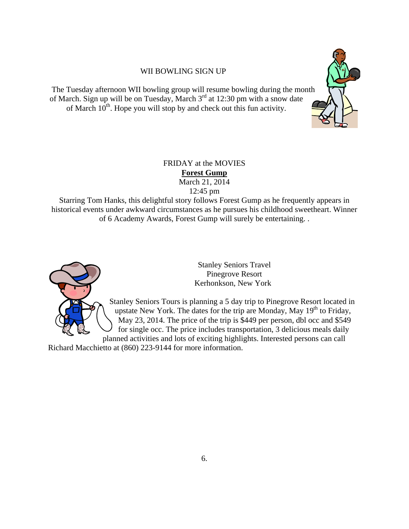# WII BOWLING SIGN UP

The Tuesday afternoon WII bowling group will resume bowling during the month of March. Sign up will be on Tuesday, March  $3<sup>rd</sup>$  at 12:30 pm with a snow date of March  $10^{th}$ . Hope you will stop by and check out this fun activity.



# FRIDAY at the MOVIES **Forest Gump**  March 21, 2014 12:45 pm

Starring Tom Hanks, this delightful story follows Forest Gump as he frequently appears in historical events under awkward circumstances as he pursues his childhood sweetheart. Winner of 6 Academy Awards, Forest Gump will surely be entertaining. .



Stanley Seniors Travel Pinegrove Resort Kerhonkson, New York

Stanley Seniors Tours is planning a 5 day trip to Pinegrove Resort located in upstate New York. The dates for the trip are Monday, May  $19<sup>th</sup>$  to Friday, May 23, 2014. The price of the trip is \$449 per person, dbl occ and \$549 for single occ. The price includes transportation, 3 delicious meals daily planned activities and lots of exciting highlights. Interested persons can call

Richard Macchietto at (860) 223-9144 for more information.